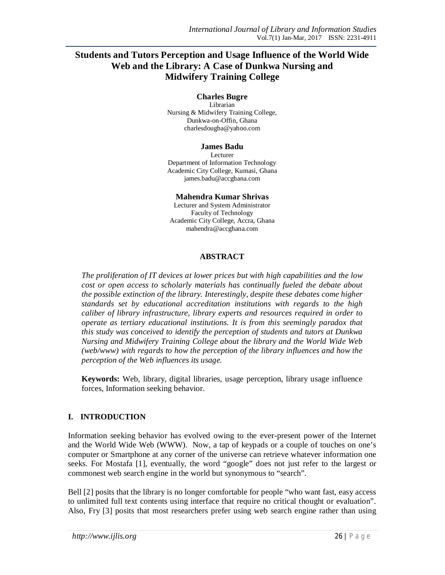# **Students and Tutors Perception and Usage Influence of the World Wide Web and the Library: A Case of Dunkwa Nursing and Midwifery Training College**

#### **Charles Bugre**

Librarian Nursing & Midwifery Training College, Dunkwa-on-Offin, Ghana charlesdougba@yahoo.com

#### **James Badu**

Lecturer Department of Information Technology Academic City College, Kumasi, Ghana james.badu@accghana.com

#### **Mahendra Kumar Shrivas**

Lecturer and System Administrator Faculty of Technology Academic City College, Accra, Ghana mahendra@accghana.com

### **ABSTRACT**

*The proliferation of IT devices at lower prices but with high capabilities and the low cost or open access to scholarly materials has continually fueled the debate about the possible extinction of the library. Interestingly, despite these debates come higher standards set by educational accreditation institutions with regards to the high caliber of library infrastructure, library experts and resources required in order to operate as tertiary educational institutions. It is from this seemingly paradox that this study was conceived to identify the perception of students and tutors at Dunkwa Nursing and Midwifery Training College about the library and the World Wide Web (web/www) with regards to how the perception of the library influences and how the perception of the Web influences its usage.*

**Keywords:** Web, library, digital libraries, usage perception, library usage influence forces, Information seeking behavior.

## **I. INTRODUCTION**

Information seeking behavior has evolved owing to the ever-present power of the Internet and the World Wide Web (WWW). Now, a tap of keypads or a couple of touches on one's computer or Smartphone at any corner of the universe can retrieve whatever information one seeks. For Mostafa [1], eventually, the word "google" does not just refer to the largest or commonest web search engine in the world but synonymous to "search".

Bell [2] posits that the library is no longer comfortable for people "who want fast, easy access to unlimited full text contents using interface that require no critical thought or evaluation". Also, Fry [3] posits that most researchers prefer using web search engine rather than using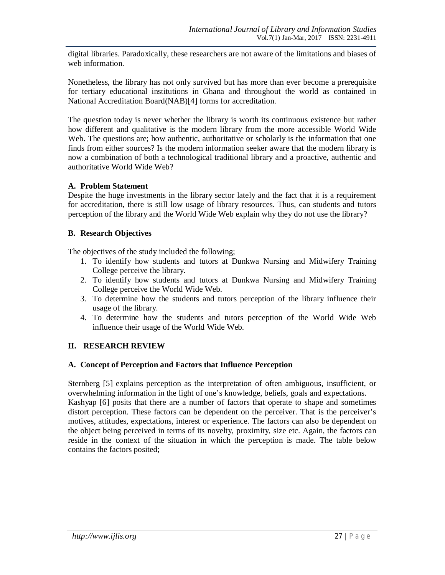digital libraries. Paradoxically, these researchers are not aware of the limitations and biases of web information.

Nonetheless, the library has not only survived but has more than ever become a prerequisite for tertiary educational institutions in Ghana and throughout the world as contained in National Accreditation Board(NAB)[4] forms for accreditation.

The question today is never whether the library is worth its continuous existence but rather how different and qualitative is the modern library from the more accessible World Wide Web. The questions are; how authentic, authoritative or scholarly is the information that one finds from either sources? Is the modern information seeker aware that the modern library is now a combination of both a technological traditional library and a proactive, authentic and authoritative World Wide Web?

## **A. Problem Statement**

Despite the huge investments in the library sector lately and the fact that it is a requirement for accreditation, there is still low usage of library resources. Thus, can students and tutors perception of the library and the World Wide Web explain why they do not use the library?

### **B. Research Objectives**

The objectives of the study included the following;

- 1. To identify how students and tutors at Dunkwa Nursing and Midwifery Training College perceive the library.
- 2. To identify how students and tutors at Dunkwa Nursing and Midwifery Training College perceive the World Wide Web.
- 3. To determine how the students and tutors perception of the library influence their usage of the library.
- 4. To determine how the students and tutors perception of the World Wide Web influence their usage of the World Wide Web.

## **II. RESEARCH REVIEW**

#### **A. Concept of Perception and Factors that Influence Perception**

Sternberg [5] explains perception as the interpretation of often ambiguous, insufficient, or overwhelming information in the light of one's knowledge, beliefs, goals and expectations. Kashyap [6] posits that there are a number of factors that operate to shape and sometimes distort perception. These factors can be dependent on the perceiver. That is the perceiver's motives, attitudes, expectations, interest or experience. The factors can also be dependent on the object being perceived in terms of its novelty, proximity, size etc. Again, the factors can reside in the context of the situation in which the perception is made. The table below contains the factors posited;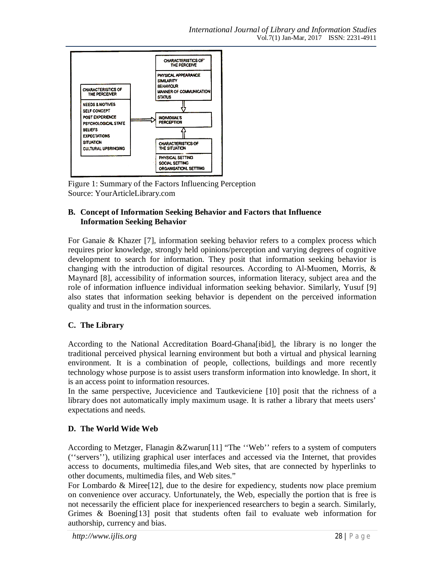

Figure 1: Summary of the Factors Influencing Perception Source: YourArticleLibrary.com

## **B. Concept of Information Seeking Behavior and Factors that Influence Information Seeking Behavior**

For Ganaie & Khazer [7], information seeking behavior refers to a complex process which requires prior knowledge, strongly held opinions/perception and varying degrees of cognitive development to search for information. They posit that information seeking behavior is changing with the introduction of digital resources. According to Al-Muomen, Morris, & Maynard [8], accessibility of information sources, information literacy, subject area and the role of information influence individual information seeking behavior. Similarly, Yusuf [9] also states that information seeking behavior is dependent on the perceived information quality and trust in the information sources.

# **C. The Library**

According to the National Accreditation Board-Ghana[ibid], the library is no longer the traditional perceived physical learning environment but both a virtual and physical learning environment. It is a combination of people, collections, buildings and more recently technology whose purpose is to assist users transform information into knowledge. In short, it is an access point to information resources.

In the same perspective, Jucevicience and Tautkeviciene [10] posit that the richness of a library does not automatically imply maximum usage. It is rather a library that meets users' expectations and needs.

# **D. The World Wide Web**

According to Metzger, Flanagin &Zwarun[11] "The ''Web'' refers to a system of computers (''servers''), utilizing graphical user interfaces and accessed via the Internet, that provides access to documents, multimedia files,and Web sites, that are connected by hyperlinks to other documents, multimedia files, and Web sites."

For Lombardo  $\&$  Miree [12], due to the desire for expediency, students now place premium on convenience over accuracy. Unfortunately, the Web, especially the portion that is free is not necessarily the efficient place for inexperienced researchers to begin a search. Similarly, Grimes & Boening[13] posit that students often fail to evaluate web information for authorship, currency and bias.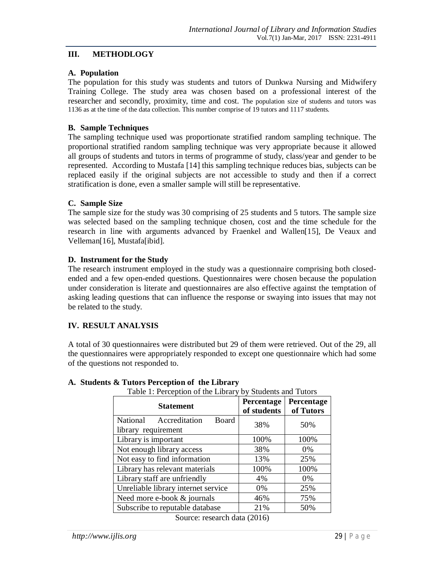## **III. METHODLOGY**

## **A. Population**

The population for this study was students and tutors of Dunkwa Nursing and Midwifery Training College. The study area was chosen based on a professional interest of the researcher and secondly, proximity, time and cost. The population size of students and tutors was 1136 as at the time of the data collection. This number comprise of 19 tutors and 1117 students.

## **B. Sample Techniques**

The sampling technique used was proportionate stratified random sampling technique. The proportional stratified random sampling technique was very appropriate because it allowed all groups of students and tutors in terms of programme of study, class/year and gender to be represented. According to Mustafa [14] this sampling technique reduces bias, subjects can be replaced easily if the original subjects are not accessible to study and then if a correct stratification is done, even a smaller sample will still be representative.

## **C. Sample Size**

The sample size for the study was 30 comprising of 25 students and 5 tutors. The sample size was selected based on the sampling technique chosen, cost and the time schedule for the research in line with arguments advanced by Fraenkel and Wallen[15], De Veaux and Velleman[16], Mustafa[ibid].

## **D. Instrument for the Study**

The research instrument employed in the study was a questionnaire comprising both closedended and a few open-ended questions. Questionnaires were chosen because the population under consideration is literate and questionnaires are also effective against the temptation of asking leading questions that can influence the response or swaying into issues that may not be related to the study.

## **IV. RESULT ANALYSIS**

A total of 30 questionnaires were distributed but 29 of them were retrieved. Out of the 29, all the questionnaires were appropriately responded to except one questionnaire which had some of the questions not responded to.

| Table 1. I creeption of the Library by Buddents and Tutors<br><b>Statement</b> | Percentage  | Percentage |  |
|--------------------------------------------------------------------------------|-------------|------------|--|
|                                                                                | of students | of Tutors  |  |
| National<br>Accreditation<br>Board                                             | 38%         | 50%        |  |
| library requirement                                                            |             |            |  |
| Library is important                                                           | 100%        | 100%       |  |
| Not enough library access                                                      | 38%         | 0%         |  |
| Not easy to find information                                                   | 13%         | 25%        |  |
| Library has relevant materials                                                 | 100%        | 100%       |  |
| Library staff are unfriendly                                                   | 4%          | 0%         |  |
| Unreliable library internet service                                            | $0\%$       | 25%        |  |
| Need more e-book & journals                                                    | 46%         | 75%        |  |
| Subscribe to reputable database                                                | 21%         | 50%        |  |
| $0 \rightarrow 0$                                                              |             |            |  |

## **A. Students & Tutors Perception of the Library**

Table 1: Perception of the Library by Students and Tutors

Source: research data (2016)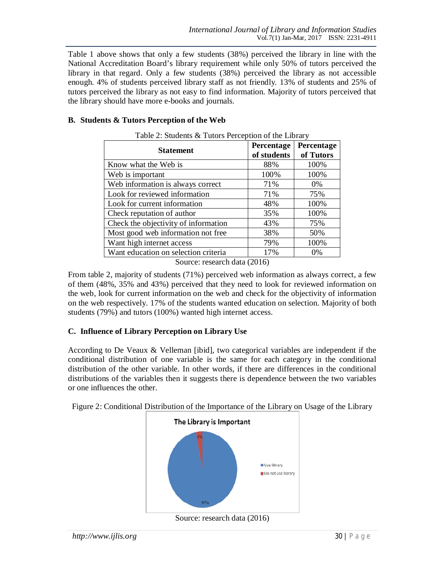Table 1 above shows that only a few students (38%) perceived the library in line with the National Accreditation Board's library requirement while only 50% of tutors perceived the library in that regard. Only a few students (38%) perceived the library as not accessible enough. 4% of students perceived library staff as not friendly. 13% of students and 25% of tutors perceived the library as not easy to find information. Majority of tutors perceived that the library should have more e-books and journals.

## **B. Students & Tutors Perception of the Web**

| <b>Statement</b>                     | Percentage<br>of students | Percentage<br>of Tutors |
|--------------------------------------|---------------------------|-------------------------|
| Know what the Web is                 | 88%                       | 100%                    |
| Web is important                     | 100%                      | 100%                    |
| Web information is always correct    | 71%                       | $0\%$                   |
| Look for reviewed information        | 71%                       | 75%                     |
| Look for current information         | 48%                       | 100%                    |
| Check reputation of author           | 35%                       | 100%                    |
| Check the objectivity of information | 43%                       | 75%                     |
| Most good web information not free   | 38%                       | 50%                     |
| Want high internet access            | 79%                       | 100%                    |
| Want education on selection criteria | 17%                       | 0%                      |

Table 2: Students  $&$  Tutors Perception of the Library

Source: research data (2016)

From table 2, majority of students (71%) perceived web information as always correct, a few of them (48%, 35% and 43%) perceived that they need to look for reviewed information on the web, look for current information on the web and check for the objectivity of information on the web respectively. 17% of the students wanted education on selection. Majority of both students (79%) and tutors (100%) wanted high internet access.

## **C. Influence of Library Perception on Library Use**

According to De Veaux & Velleman [ibid], two categorical variables are independent if the conditional distribution of one variable is the same for each category in the conditional distribution of the other variable. In other words, if there are differences in the conditional distributions of the variables then it suggests there is dependence between the two variables or one influences the other.

Figure 2: Conditional Distribution of the Importance of the Library on Usage of the Library



Source: research data (2016)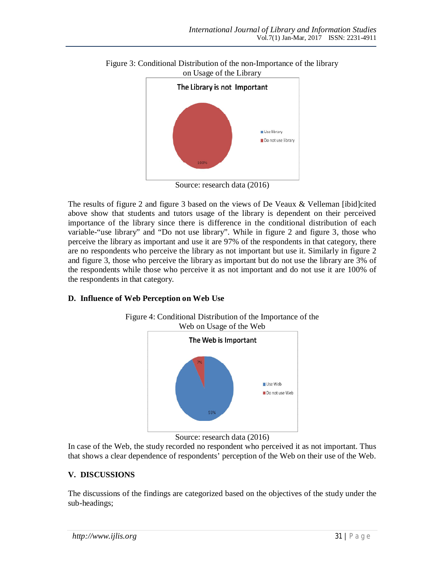

Figure 3: Conditional Distribution of the non-Importance of the library on Usage of the Library

Source: research data (2016)

The results of figure 2 and figure 3 based on the views of De Veaux & Velleman [ibid]cited above show that students and tutors usage of the library is dependent on their perceived importance of the library since there is difference in the conditional distribution of each variable-"use library" and "Do not use library". While in figure 2 and figure 3, those who perceive the library as important and use it are 97% of the respondents in that category, there are no respondents who perceive the library as not important but use it. Similarly in figure 2 and figure 3, those who perceive the library as important but do not use the library are 3% of the respondents while those who perceive it as not important and do not use it are 100% of the respondents in that category.

## **D. Influence of Web Perception on Web Use**



Source: research data (2016)

In case of the Web, the study recorded no respondent who perceived it as not important. Thus that shows a clear dependence of respondents' perception of the Web on their use of the Web.

## **V. DISCUSSIONS**

The discussions of the findings are categorized based on the objectives of the study under the sub-headings;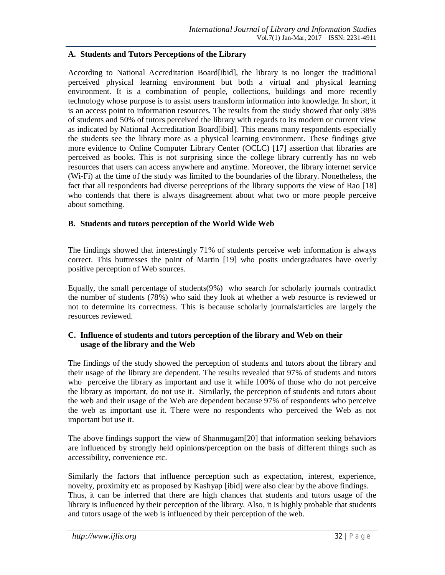### **A. Students and Tutors Perceptions of the Library**

According to National Accreditation Board[ibid], the library is no longer the traditional perceived physical learning environment but both a virtual and physical learning environment. It is a combination of people, collections, buildings and more recently technology whose purpose is to assist users transform information into knowledge. In short, it is an access point to information resources. The results from the study showed that only 38% of students and 50% of tutors perceived the library with regards to its modern or current view as indicated by National Accreditation Board[ibid]. This means many respondents especially the students see the library more as a physical learning environment. These findings give more evidence to Online Computer Library Center (OCLC) [17] assertion that libraries are perceived as books. This is not surprising since the college library currently has no web resources that users can access anywhere and anytime. Moreover, the library internet service (Wi-Fi) at the time of the study was limited to the boundaries of the library. Nonetheless, the fact that all respondents had diverse perceptions of the library supports the view of Rao [18] who contends that there is always disagreement about what two or more people perceive about something.

### **B. Students and tutors perception of the World Wide Web**

The findings showed that interestingly 71% of students perceive web information is always correct. This buttresses the point of Martin [19] who posits undergraduates have overly positive perception of Web sources.

Equally, the small percentage of students(9%) who search for scholarly journals contradict the number of students (78%) who said they look at whether a web resource is reviewed or not to determine its correctness. This is because scholarly journals/articles are largely the resources reviewed.

### **C. Influence of students and tutors perception of the library and Web on their usage of the library and the Web**

The findings of the study showed the perception of students and tutors about the library and their usage of the library are dependent. The results revealed that 97% of students and tutors who perceive the library as important and use it while 100% of those who do not perceive the library as important, do not use it. Similarly, the perception of students and tutors about the web and their usage of the Web are dependent because 97% of respondents who perceive the web as important use it. There were no respondents who perceived the Web as not important but use it.

The above findings support the view of Shanmugam[20] that information seeking behaviors are influenced by strongly held opinions/perception on the basis of different things such as accessibility, convenience etc.

Similarly the factors that influence perception such as expectation, interest, experience, novelty, proximity etc as proposed by Kashyap [ibid] were also clear by the above findings. Thus, it can be inferred that there are high chances that students and tutors usage of the library is influenced by their perception of the library. Also, it is highly probable that students and tutors usage of the web is influenced by their perception of the web.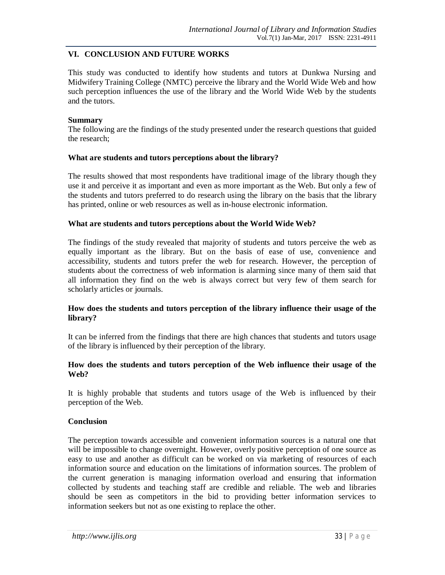## **VI. CONCLUSION AND FUTURE WORKS**

This study was conducted to identify how students and tutors at Dunkwa Nursing and Midwifery Training College (NMTC) perceive the library and the World Wide Web and how such perception influences the use of the library and the World Wide Web by the students and the tutors.

#### **Summary**

The following are the findings of the study presented under the research questions that guided the research;

### **What are students and tutors perceptions about the library?**

The results showed that most respondents have traditional image of the library though they use it and perceive it as important and even as more important as the Web. But only a few of the students and tutors preferred to do research using the library on the basis that the library has printed, online or web resources as well as in-house electronic information.

### **What are students and tutors perceptions about the World Wide Web?**

The findings of the study revealed that majority of students and tutors perceive the web as equally important as the library. But on the basis of ease of use, convenience and accessibility, students and tutors prefer the web for research. However, the perception of students about the correctness of web information is alarming since many of them said that all information they find on the web is always correct but very few of them search for scholarly articles or journals.

## **How does the students and tutors perception of the library influence their usage of the library?**

It can be inferred from the findings that there are high chances that students and tutors usage of the library is influenced by their perception of the library.

### **How does the students and tutors perception of the Web influence their usage of the Web?**

It is highly probable that students and tutors usage of the Web is influenced by their perception of the Web.

#### **Conclusion**

The perception towards accessible and convenient information sources is a natural one that will be impossible to change overnight. However, overly positive perception of one source as easy to use and another as difficult can be worked on via marketing of resources of each information source and education on the limitations of information sources. The problem of the current generation is managing information overload and ensuring that information collected by students and teaching staff are credible and reliable. The web and libraries should be seen as competitors in the bid to providing better information services to information seekers but not as one existing to replace the other.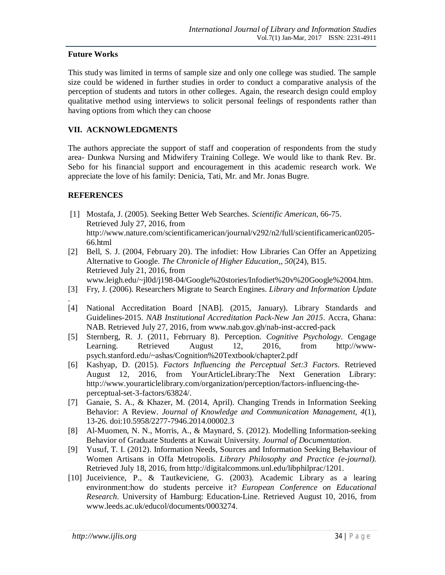### **Future Works**

This study was limited in terms of sample size and only one college was studied. The sample size could be widened in further studies in order to conduct a comparative analysis of the perception of students and tutors in other colleges. Again, the research design could employ qualitative method using interviews to solicit personal feelings of respondents rather than having options from which they can choose

## **VII. ACKNOWLEDGMENTS**

The authors appreciate the support of staff and cooperation of respondents from the study area- Dunkwa Nursing and Midwifery Training College. We would like to thank Rev. Br. Sebo for his financial support and encouragement in this academic research work. We appreciate the love of his family: Denicia, Tati, Mr. and Mr. Jonas Bugre.

## **REFERENCES**

- [1] Mostafa, J. (2005). Seeking Better Web Searches. *Scientific American*, 66-75. Retrieved July 27, 2016, from http://www.nature.com/scientificamerican/journal/v292/n2/full/scientificamerican0205- 66.html
- [2] Bell, S. J. (2004, February 20). The infodiet: How Libraries Can Offer an Appetizing Alternative to Google. *The Chronicle of Higher Education,, 50*(24), B15. Retrieved July 21, 2016, from

www.leigh.edu/~jl0d/j198-04/Google%20stories/Infodiet%20v%20Google%2004.htm.

- [3] Fry, J. (2006). Researchers Migrate to Search Engines. *Library and Information Update*
- . [4] National Accreditation Board [NAB]. (2015, January). Library Standards and Guidelines-2015. *NAB Institutional Accreditation Pack-New Jan 2015*. Accra, Ghana: NAB. Retrieved July 27, 2016, from www.nab.gov.gh/nab-inst-accred-pack
- [5] Sternberg, R. J. (2011, Febrruary 8). Perception. *Cognitive Psychology*. Cengage Learning. Retrieved August 12, 2016, from http://wwwpsych.stanford.edu/~ashas/Cognition%20Textbook/chapter2.pdf
- [6] Kashyap, D. (2015). *Factors Influencing the Perceptual Set:3 Factors*. Retrieved August 12, 2016, from YourArticleLibrary:The Next Generation Library: http://www.yourarticlelibrary.com/organization/perception/factors-influencing-theperceptual-set-3-factors/63824/.
- [7] Ganaie, S. A., & Khazer, M. (2014, April). Changing Trends in Information Seeking Behavior: A Review. *Journal of Knowledge and Communication Management, 4*(1), 13-26. doi:10.5958/2277-7946.2014.00002.3
- [8] Al-Muomen, N. N., Morris, A., & Maynard, S. (2012). Modelling Information-seeking Behavior of Graduate Students at Kuwait University. *Journal of Documentation*.
- [9] Yusuf, T. I. (2012). Information Needs, Sources and Information Seeking Behaviour of Women Artisans in Offa Metropolis. *Library Philosophy and Practice (e-journal).* Retrieved July 18, 2016, from http://digitalcommons.unl.edu/libphilprac/1201.
- [10] Juceivience, P., & Tautkeviciene, G. (2003). Academic Library as a learing environment:how do students perceive it? *European Conference on Educational Research.* University of Hamburg: Education-Line. Retrieved August 10, 2016, from www.leeds.ac.uk/educol/documents/0003274.